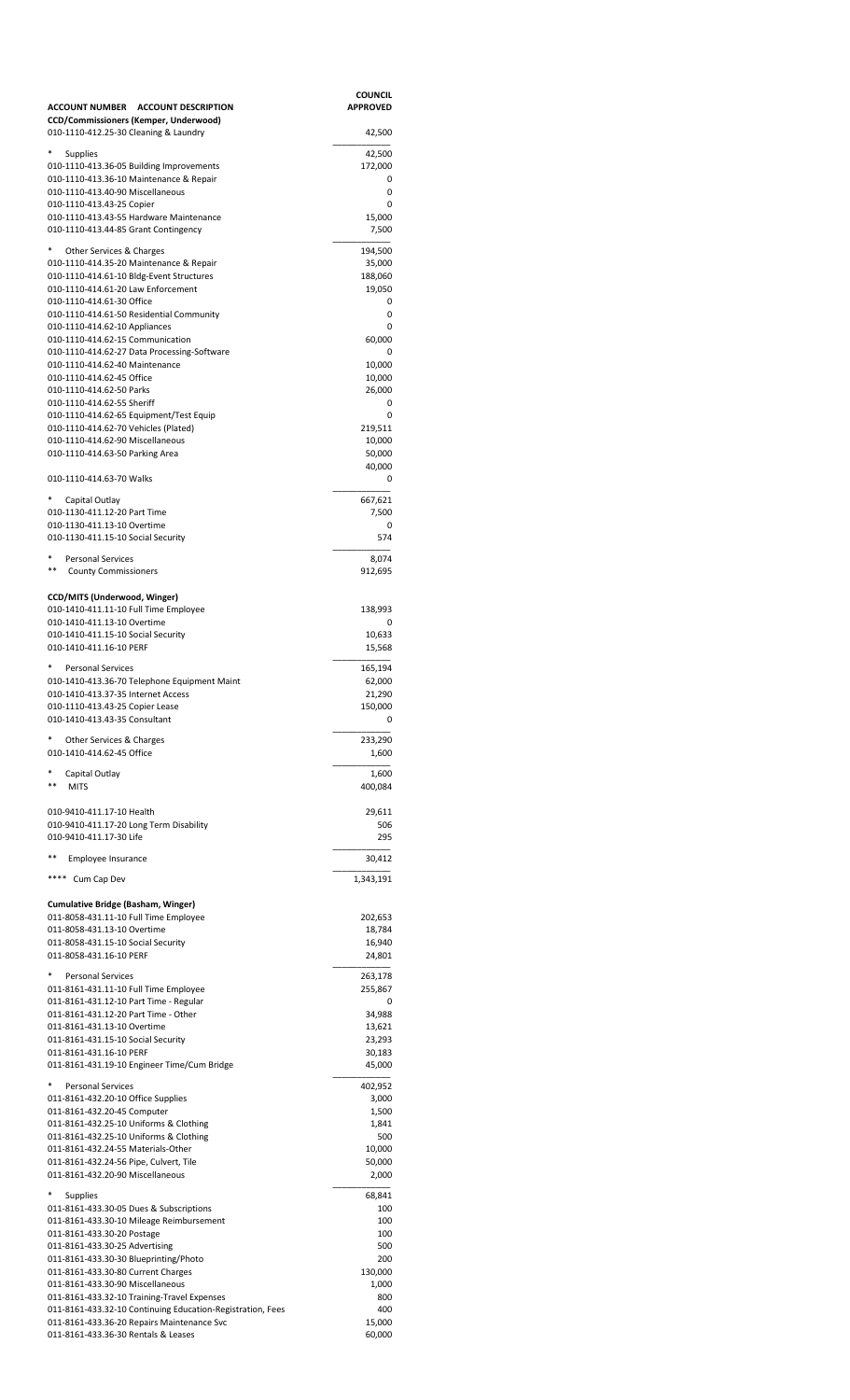|                                                                                                          | COUNCIL<br><b>APPROVED</b> |
|----------------------------------------------------------------------------------------------------------|----------------------------|
| ACCOUNT NUMBER ACCOUNT DESCRIPTION<br>CCD/Commissioners (Kemper, Underwood)                              |                            |
| 010-1110-412.25-30 Cleaning & Laundry                                                                    | 42,500                     |
| <b>Supplies</b>                                                                                          | 42,500                     |
| 010-1110-413.36-05 Building Improvements                                                                 | 172,000                    |
| 010-1110-413.36-10 Maintenance & Repair<br>010-1110-413.40-90 Miscellaneous                              | 0<br>0                     |
| 010-1110-413.43-25 Copier                                                                                | 0                          |
| 010-1110-413.43-55 Hardware Maintenance<br>010-1110-413.44-85 Grant Contingency                          | 15,000<br>7,500            |
|                                                                                                          |                            |
| Other Services & Charges<br>010-1110-414.35-20 Maintenance & Repair                                      | 194,500<br>35,000          |
| 010-1110-414.61-10 Bldg-Event Structures                                                                 | 188,060                    |
| 010-1110-414.61-20 Law Enforcement<br>010-1110-414.61-30 Office                                          | 19,050<br>0                |
| 010-1110-414.61-50 Residential Community                                                                 | 0                          |
| 010-1110-414.62-10 Appliances                                                                            | 0                          |
| 010-1110-414.62-15 Communication<br>010-1110-414.62-27 Data Processing-Software                          | 60,000<br>0                |
| 010-1110-414.62-40 Maintenance                                                                           | 10,000                     |
| 010-1110-414.62-45 Office<br>010-1110-414.62-50 Parks                                                    | 10,000<br>26,000           |
| 010-1110-414.62-55 Sheriff                                                                               | 0                          |
| 010-1110-414.62-65 Equipment/Test Equip                                                                  | 0                          |
| 010-1110-414.62-70 Vehicles (Plated)<br>010-1110-414.62-90 Miscellaneous                                 | 219,511<br>10,000          |
| 010-1110-414.63-50 Parking Area                                                                          | 50,000                     |
| 010-1110-414.63-70 Walks                                                                                 | 40,000<br>0                |
|                                                                                                          |                            |
| Capital Outlay<br>010-1130-411.12-20 Part Time                                                           | 667,621<br>7,500           |
| 010-1130-411.13-10 Overtime                                                                              | 0                          |
| 010-1130-411.15-10 Social Security                                                                       | 574                        |
| *<br><b>Personal Services</b>                                                                            | 8,074                      |
| $***$<br><b>County Commissioners</b>                                                                     | 912,695                    |
| CCD/MITS (Underwood, Winger)                                                                             |                            |
| 010-1410-411.11-10 Full Time Employee                                                                    | 138,993                    |
| 010-1410-411.13-10 Overtime<br>010-1410-411.15-10 Social Security                                        | 0<br>10,633                |
| 010-1410-411.16-10 PERF                                                                                  | 15,568                     |
| <b>Personal Services</b>                                                                                 | 165,194                    |
| 010-1410-413.36-70 Telephone Equipment Maint                                                             | 62,000                     |
| 010-1410-413.37-35 Internet Access<br>010-1110-413.43-25 Copier Lease                                    | 21,290<br>150,000          |
| 010-1410-413.43-35 Consultant                                                                            | 0                          |
| Other Services & Charges                                                                                 | 233,290                    |
| 010-1410-414.62-45 Office                                                                                | 1,600                      |
| Capital Outlay                                                                                           | 1,600                      |
| **<br><b>MITS</b>                                                                                        | 400,084                    |
| 010-9410-411.17-10 Health                                                                                | 29,611                     |
| 010-9410-411.17-20 Long Term Disability                                                                  | 506                        |
| 010-9410-411.17-30 Life                                                                                  | 295                        |
| $***$<br>Employee Insurance                                                                              | 30,412                     |
| ****<br>Cum Cap Dev                                                                                      | 1,343,191                  |
|                                                                                                          |                            |
| Cumulative Bridge (Basham, Winger)<br>011-8058-431.11-10 Full Time Employee                              | 202,653                    |
| 011-8058-431.13-10 Overtime                                                                              | 18,784                     |
| 011-8058-431.15-10 Social Security                                                                       | 16,940                     |
| 011-8058-431.16-10 PERF                                                                                  | 24,801                     |
| <b>Personal Services</b><br>011-8161-431.11-10 Full Time Employee                                        | 263,178<br>255,867         |
| 011-8161-431.12-10 Part Time - Regular                                                                   | 0                          |
| 011-8161-431.12-20 Part Time - Other                                                                     | 34,988                     |
| 011-8161-431.13-10 Overtime<br>011-8161-431.15-10 Social Security                                        | 13,621<br>23,293           |
| 011-8161-431.16-10 PERF                                                                                  | 30,183                     |
| 011-8161-431.19-10 Engineer Time/Cum Bridge                                                              | 45,000                     |
| <b>Personal Services</b>                                                                                 | 402,952                    |
| 011-8161-432.20-10 Office Supplies<br>011-8161-432.20-45 Computer                                        | 3,000<br>1,500             |
| 011-8161-432.25-10 Uniforms & Clothing                                                                   | 1,841                      |
| 011-8161-432.25-10 Uniforms & Clothing                                                                   | 500                        |
| 011-8161-432.24-55 Materials-Other<br>011-8161-432.24-56 Pipe, Culvert, Tile                             | 10,000<br>50,000           |
| 011-8161-432.20-90 Miscellaneous                                                                         | 2,000                      |
| Supplies                                                                                                 | 68,841                     |
| 011-8161-433.30-05 Dues & Subscriptions                                                                  | 100                        |
| 011-8161-433.30-10 Mileage Reimbursement<br>011-8161-433.30-20 Postage                                   | 100<br>100                 |
| 011-8161-433.30-25 Advertising                                                                           | 500                        |
| 011-8161-433.30-30 Blueprinting/Photo                                                                    | 200                        |
| 011-8161-433.30-80 Current Charges<br>011-8161-433.30-90 Miscellaneous                                   | 130,000<br>1,000           |
| 011-8161-433.32-10 Training-Travel Expenses                                                              | 800                        |
| 011-8161-433.32-10 Continuing Education-Registration, Fees<br>011-8161-433.36-20 Repairs Maintenance Svc | 400<br>15,000              |
| 011-8161-433.36-30 Rentals & Leases                                                                      | 60,000                     |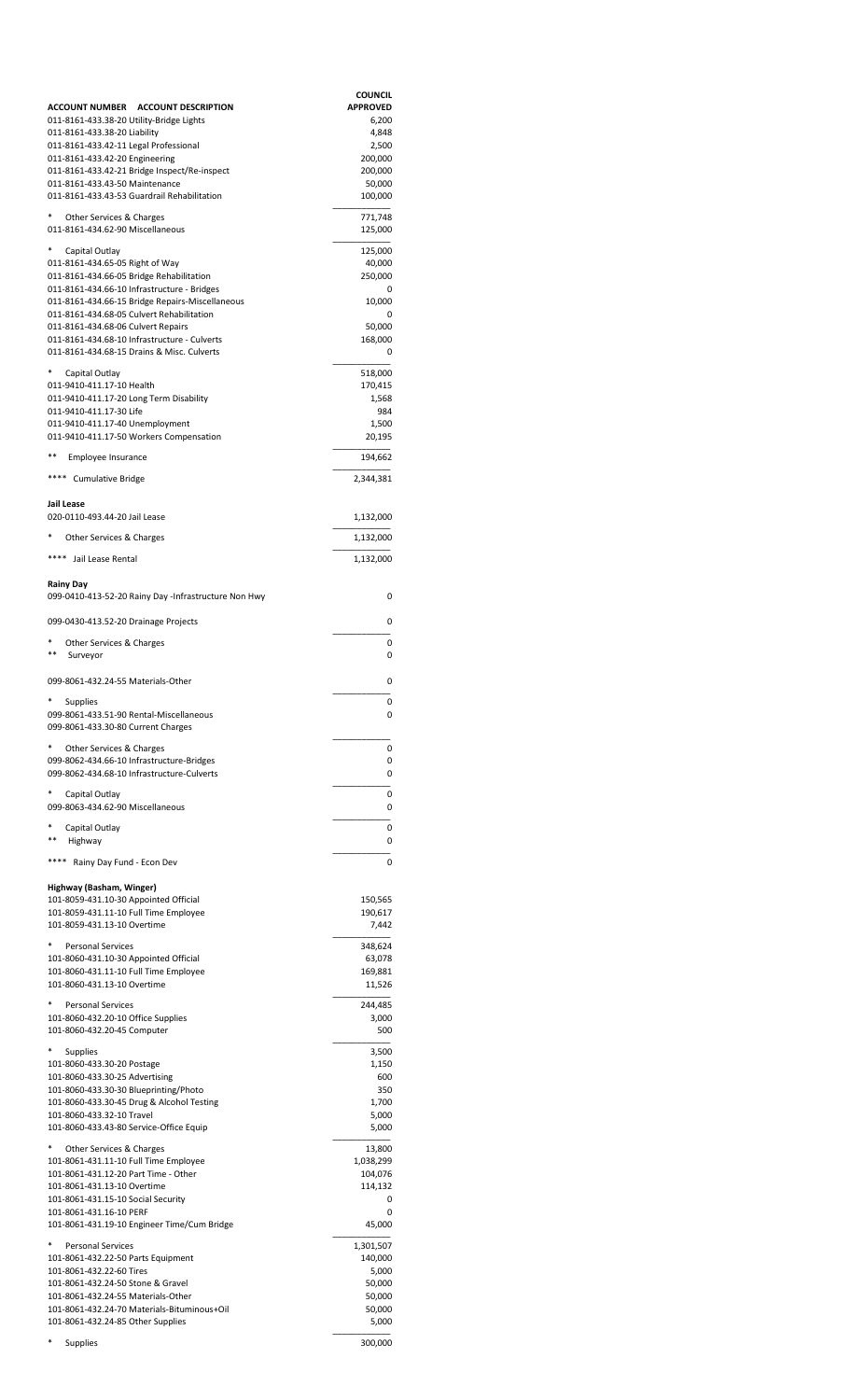|                                                                                            | <b>COUNCIL</b>           |
|--------------------------------------------------------------------------------------------|--------------------------|
| ACCOUNT NUMBER ACCOUNT DESCRIPTION<br>011-8161-433.38-20 Utility-Bridge Lights             | <b>APPROVED</b><br>6,200 |
| 011-8161-433.38-20 Liability                                                               | 4,848                    |
| 011-8161-433.42-11 Legal Professional                                                      | 2,500                    |
| 011-8161-433.42-20 Engineering                                                             | 200,000                  |
| 011-8161-433.42-21 Bridge Inspect/Re-inspect<br>011-8161-433.43-50 Maintenance             | 200,000<br>50,000        |
| 011-8161-433.43-53 Guardrail Rehabilitation                                                | 100,000                  |
| Other Services & Charges                                                                   | 771,748                  |
| 011-8161-434.62-90 Miscellaneous                                                           | 125,000                  |
| Capital Outlay                                                                             | 125,000                  |
| 011-8161-434.65-05 Right of Way                                                            | 40,000                   |
| 011-8161-434.66-05 Bridge Rehabilitation<br>011-8161-434.66-10 Infrastructure - Bridges    | 250,000<br>0             |
| 011-8161-434.66-15 Bridge Repairs-Miscellaneous                                            | 10,000                   |
| 011-8161-434.68-05 Culvert Rehabilitation                                                  | 0                        |
| 011-8161-434.68-06 Culvert Repairs                                                         | 50,000                   |
| 011-8161-434.68-10 Infrastructure - Culverts<br>011-8161-434.68-15 Drains & Misc. Culverts | 168,000<br>0             |
|                                                                                            |                          |
| *<br>Capital Outlay<br>011-9410-411.17-10 Health                                           | 518,000                  |
| 011-9410-411.17-20 Long Term Disability                                                    | 170,415<br>1,568         |
| 011-9410-411.17-30 Life                                                                    | 984                      |
| 011-9410-411.17-40 Unemployment                                                            | 1,500                    |
| 011-9410-411.17-50 Workers Compensation                                                    | 20,195                   |
| **<br>Employee Insurance                                                                   | 194,662                  |
| **** Cumulative Bridge                                                                     | 2,344,381                |
| Jail Lease                                                                                 |                          |
| 020-0110-493.44-20 Jail Lease                                                              | 1,132,000                |
| Other Services & Charges                                                                   | 1,132,000                |
| ****<br>Jail Lease Rental                                                                  | 1,132,000                |
|                                                                                            |                          |
| Rainy Day<br>099-0410-413-52-20 Rainy Day -Infrastructure Non Hwy                          | 0                        |
|                                                                                            |                          |
| 099-0430-413.52-20 Drainage Projects                                                       | 0                        |
| Other Services & Charges<br>$***$<br>Surveyor                                              | 0<br>0                   |
|                                                                                            |                          |
| 099-8061-432.24-55 Materials-Other                                                         | 0                        |
| Supplies                                                                                   | 0                        |
| 099-8061-433.51-90 Rental-Miscellaneous<br>099-8061-433.30-80 Current Charges              | υ                        |
|                                                                                            |                          |
| Other Services & Charges<br>099-8062-434.66-10 Infrastructure-Bridges                      | 0<br>0                   |
| 099-8062-434.68-10 Infrastructure-Culverts                                                 | 0                        |
| Capital Outlay                                                                             | 0                        |
| 099-8063-434.62-90 Miscellaneous                                                           | 0                        |
| Capital Outlay                                                                             | 0                        |
| Highway<br>**                                                                              | 0                        |
| Rainy Day Fund - Econ Dev                                                                  | 0                        |
| Highway (Basham, Winger)                                                                   |                          |
| 101-8059-431.10-30 Appointed Official                                                      | 150,565                  |
| 101-8059-431.11-10 Full Time Employee                                                      | 190,617                  |
| 101-8059-431.13-10 Overtime                                                                | 7,442                    |
| <b>Personal Services</b>                                                                   | 348,624                  |
| 101-8060-431.10-30 Appointed Official                                                      | 63,078                   |
| 101-8060-431.11-10 Full Time Employee                                                      | 169,881                  |
| 101-8060-431.13-10 Overtime                                                                | 11,526                   |
| <b>Personal Services</b>                                                                   | 244,485                  |
| 101-8060-432.20-10 Office Supplies                                                         | 3,000                    |
| 101-8060-432.20-45 Computer                                                                | 500                      |
| Supplies                                                                                   | 3,500                    |
| 101-8060-433.30-20 Postage                                                                 | 1,150                    |
| 101-8060-433.30-25 Advertising                                                             | 600                      |
| 101-8060-433.30-30 Blueprinting/Photo<br>101-8060-433.30-45 Drug & Alcohol Testing         | 350<br>1,700             |
| 101-8060-433.32-10 Travel                                                                  | 5,000                    |
| 101-8060-433.43-80 Service-Office Equip                                                    | 5,000                    |
| Other Services & Charges                                                                   | 13,800                   |
| 101-8061-431.11-10 Full Time Employee                                                      | 1,038,299                |
| 101-8061-431.12-20 Part Time - Other                                                       | 104,076                  |
| 101-8061-431.13-10 Overtime<br>101-8061-431.15-10 Social Security                          | 114,132<br>0             |
| 101-8061-431.16-10 PERF                                                                    | 0                        |
| 101-8061-431.19-10 Engineer Time/Cum Bridge                                                | 45,000                   |
| <b>Personal Services</b>                                                                   | 1,301,507                |
| 101-8061-432.22-50 Parts Equipment                                                         | 140,000                  |
| 101-8061-432.22-60 Tires                                                                   | 5,000                    |
| 101-8061-432.24-50 Stone & Gravel<br>101-8061-432.24-55 Materials-Other                    | 50,000<br>50,000         |
| 101-8061-432.24-70 Materials-Bituminous+Oil                                                | 50,000                   |
| 101-8061-432.24-85 Other Supplies                                                          | 5,000                    |
| Supplies                                                                                   | 300,000                  |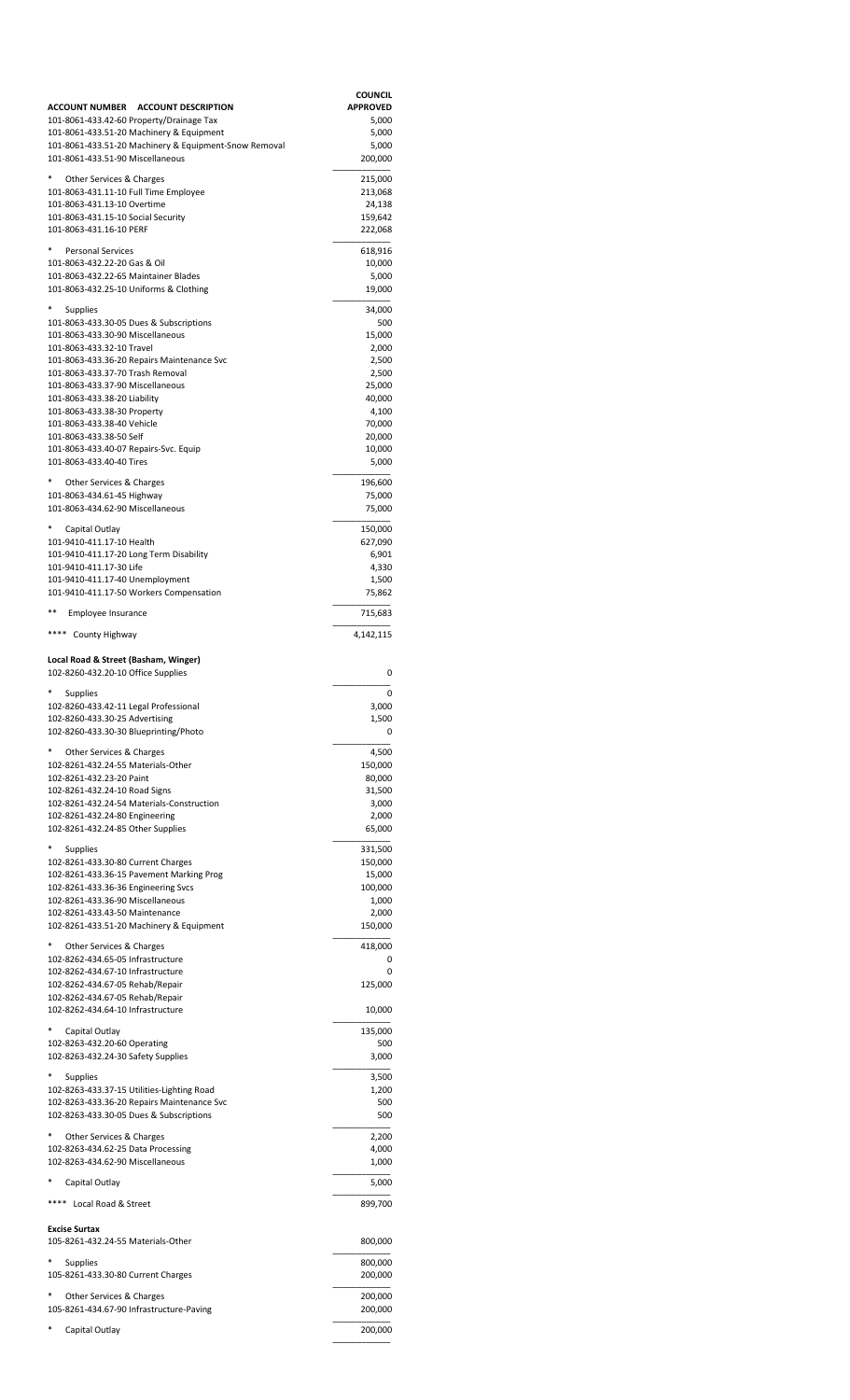| ACCOUNT NUMBER ACCOUNT DESCRIPTION                                             | <b>COUNCIL</b><br><b>APPROVED</b> |
|--------------------------------------------------------------------------------|-----------------------------------|
| 101-8061-433.42-60 Property/Drainage Tax                                       | 5,000                             |
| 101-8061-433.51-20 Machinery & Equipment                                       | 5,000                             |
| 101-8061-433.51-20 Machinery & Equipment-Snow Removal                          | 5,000                             |
| 101-8061-433.51-90 Miscellaneous                                               | 200,000                           |
| Other Services & Charges                                                       | 215,000                           |
| 101-8063-431.11-10 Full Time Employee                                          | 213,068                           |
| 101-8063-431.13-10 Overtime<br>101-8063-431.15-10 Social Security              | 24,138<br>159,642                 |
| 101-8063-431.16-10 PERF                                                        | 222,068                           |
|                                                                                |                                   |
| <b>Personal Services</b><br>101-8063-432.22-20 Gas & Oil                       | 618,916<br>10,000                 |
| 101-8063-432.22-65 Maintainer Blades                                           | 5,000                             |
| 101-8063-432.25-10 Uniforms & Clothing                                         | 19,000                            |
| Supplies                                                                       | 34,000                            |
| 101-8063-433.30-05 Dues & Subscriptions                                        | 500                               |
| 101-8063-433.30-90 Miscellaneous                                               | 15,000                            |
| 101-8063-433.32-10 Travel                                                      | 2,000                             |
| 101-8063-433.36-20 Repairs Maintenance Svc<br>101-8063-433.37-70 Trash Removal | 2,500                             |
| 101-8063-433.37-90 Miscellaneous                                               | 2,500<br>25,000                   |
| 101-8063-433.38-20 Liability                                                   | 40,000                            |
| 101-8063-433.38-30 Property                                                    | 4,100                             |
| 101-8063-433.38-40 Vehicle                                                     | 70,000                            |
| 101-8063-433.38-50 Self<br>101-8063-433.40-07 Repairs-Svc. Equip               | 20,000<br>10,000                  |
| 101-8063-433.40-40 Tires                                                       | 5,000                             |
|                                                                                |                                   |
| Other Services & Charges<br>101-8063-434.61-45 Highway                         | 196,600<br>75,000                 |
| 101-8063-434.62-90 Miscellaneous                                               | 75,000                            |
|                                                                                |                                   |
| Capital Outlay<br>101-9410-411.17-10 Health                                    | 150,000                           |
| 101-9410-411.17-20 Long Term Disability                                        | 627,090<br>6,901                  |
| 101-9410-411.17-30 Life                                                        | 4,330                             |
| 101-9410-411.17-40 Unemployment                                                | 1,500                             |
| 101-9410-411.17-50 Workers Compensation                                        | 75,862                            |
| $***$<br>Employee Insurance                                                    | 715,683                           |
| **** County Highway                                                            |                                   |
|                                                                                | 4,142,115                         |
| Local Road & Street (Basham, Winger)                                           |                                   |
| 102-8260-432.20-10 Office Supplies                                             | 0                                 |
| <b>Supplies</b>                                                                | 0                                 |
| 102-8260-433.42-11 Legal Professional                                          | 3,000                             |
| 102-8260-433.30-25 Advertising                                                 | 1,500                             |
| 102-8260-433.30-30 Blueprinting/Photo                                          | 0                                 |
| Other Services & Charges                                                       | 4,500                             |
| 102-8261-432.24-55 Materials-Other                                             | 150,000                           |
| 102-8261-432.23-20 Paint                                                       | 80,000                            |
| 102-8261-432.24-10 Road Signs<br>102-8261-432.24-54 Materials-Construction     | 31,500<br>3,000                   |
| 102-8261-432.24-80 Engineering                                                 | 2,000                             |
| 102-8261-432.24-85 Other Supplies                                              | 65,000                            |
|                                                                                | 331,500                           |
| Supplies<br>102-8261-433.30-80 Current Charges                                 | 150,000                           |
| 102-8261-433.36-15 Pavement Marking Prog                                       | 15,000                            |
| 102-8261-433.36-36 Engineering Svcs                                            | 100,000                           |
| 102-8261-433.36-90 Miscellaneous                                               | 1,000                             |
| 102-8261-433.43-50 Maintenance<br>102-8261-433.51-20 Machinery & Equipment     | 2,000<br>150,000                  |
|                                                                                |                                   |
| Other Services & Charges                                                       | 418,000                           |
| 102-8262-434.65-05 Infrastructure<br>102-8262-434.67-10 Infrastructure         | 0<br>0                            |
| 102-8262-434.67-05 Rehab/Repair                                                | 125,000                           |
| 102-8262-434.67-05 Rehab/Repair                                                |                                   |
| 102-8262-434.64-10 Infrastructure                                              | 10,000                            |
| Capital Outlay                                                                 | 135,000                           |
| 102-8263-432.20-60 Operating                                                   | 500                               |
| 102-8263-432.24-30 Safety Supplies                                             | 3,000                             |
| Supplies                                                                       | 3,500                             |
| 102-8263-433.37-15 Utilities-Lighting Road                                     | 1,200                             |
| 102-8263-433.36-20 Repairs Maintenance Svc                                     | 500                               |
| 102-8263-433.30-05 Dues & Subscriptions                                        | 500                               |
| Other Services & Charges                                                       | 2,200                             |
| 102-8263-434.62-25 Data Processing                                             | 4,000                             |
| 102-8263-434.62-90 Miscellaneous                                               | 1,000                             |
| Capital Outlay                                                                 | 5,000                             |
| Local Road & Street                                                            |                                   |
|                                                                                | 899,700                           |
| <b>Excise Surtax</b>                                                           |                                   |
| 105-8261-432.24-55 Materials-Other                                             | 800,000                           |
| Supplies                                                                       | 800,000                           |
| 105-8261-433.30-80 Current Charges                                             | 200,000                           |
| Other Services & Charges                                                       |                                   |
| 105-8261-434.67-90 Infrastructure-Paving                                       | 200,000<br>200,000                |
|                                                                                |                                   |
| *<br>Capital Outlay                                                            | 200,000                           |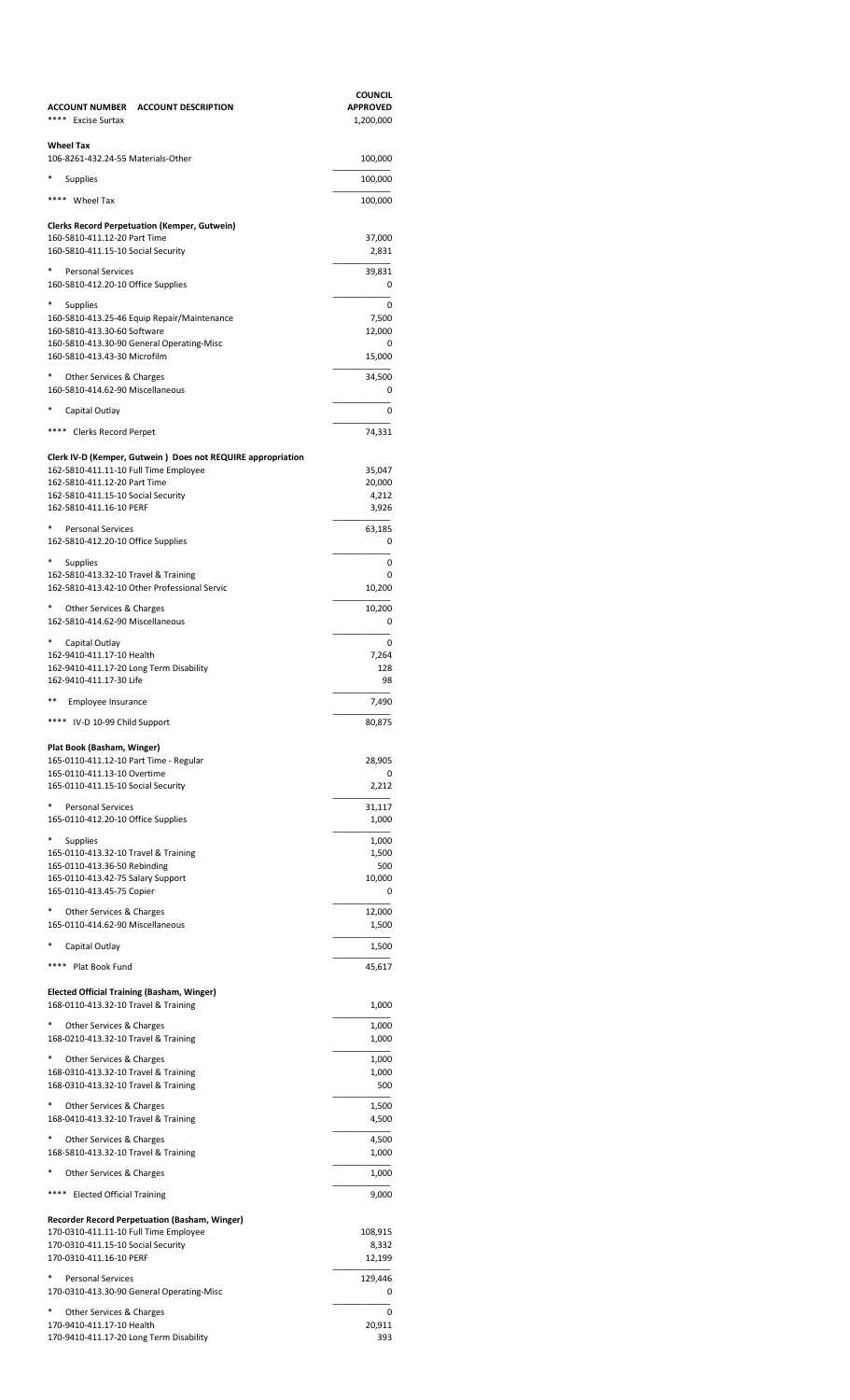| ACCOUNT NUMBER ACCOUNT DESCRIPTION<br>**** Excise Surtax                                             | <b>COUNCIL</b><br><b>APPROVED</b><br>1,200,000 |
|------------------------------------------------------------------------------------------------------|------------------------------------------------|
| Wheel Tax<br>106-8261-432.24-55 Materials-Other                                                      | 100,000                                        |
|                                                                                                      |                                                |
| Supplies                                                                                             | 100,000                                        |
| **** Wheel Tax<br><b>Clerks Record Perpetuation (Kemper, Gutwein)</b>                                | 100,000                                        |
| 160-5810-411.12-20 Part Time                                                                         | 37,000                                         |
| 160-5810-411.15-10 Social Security                                                                   | 2,831                                          |
| <b>Personal Services</b>                                                                             | 39,831                                         |
| 160-5810-412.20-10 Office Supplies                                                                   | 0                                              |
| *<br>Supplies<br>160-5810-413.25-46 Equip Repair/Maintenance                                         | 0<br>7,500                                     |
| 160-5810-413.30-60 Software                                                                          | 12,000                                         |
| 160-5810-413.30-90 General Operating-Misc<br>160-5810-413.43-30 Microfilm                            | 0<br>15,000                                    |
| Other Services & Charges                                                                             | 34,500                                         |
| 160-5810-414.62-90 Miscellaneous                                                                     | 0                                              |
| Capital Outlay                                                                                       | 0                                              |
| **** Clerks Record Perpet                                                                            | 74,331                                         |
|                                                                                                      |                                                |
| Clerk IV-D (Kemper, Gutwein) Does not REQUIRE appropriation<br>162-5810-411.11-10 Full Time Employee | 35,047                                         |
| 162-5810-411.12-20 Part Time<br>162-5810-411.15-10 Social Security                                   | 20,000<br>4,212                                |
| 162-5810-411.16-10 PERF                                                                              | 3,926                                          |
| *<br><b>Personal Services</b>                                                                        | 63,185                                         |
| 162-5810-412.20-10 Office Supplies                                                                   | 0                                              |
| Supplies                                                                                             | 0                                              |
| 162-5810-413.32-10 Travel & Training<br>162-5810-413.42-10 Other Professional Servic                 | 0<br>10,200                                    |
| *<br>Other Services & Charges                                                                        | 10,200                                         |
| 162-5810-414.62-90 Miscellaneous                                                                     | 0                                              |
| *<br>Capital Outlay                                                                                  | 0                                              |
| 162-9410-411.17-10 Health<br>162-9410-411.17-20 Long Term Disability                                 | 7,264<br>128                                   |
| 162-9410-411.17-30 Life                                                                              | 98                                             |
| **<br>Employee Insurance                                                                             | 7,490                                          |
| **** IV-D 10-99 Child Support                                                                        | 80,875                                         |
| Plat Book (Basham, Winger)                                                                           |                                                |
| 165-0110-411.12-10 Part Time - Regular                                                               | 28,905                                         |
| 165-0110-411.13-10 Overtime<br>165-0110-411.15-10 Social Security                                    | 0<br>2,212                                     |
| <b>Personal Services</b>                                                                             | 31,117                                         |
| 165-0110-412.20-10 Office Supplies                                                                   | 1,000                                          |
| *<br>Supplies                                                                                        | 1,000                                          |
| 165-0110-413.32-10 Travel & Training<br>165-0110-413.36-50 Rebinding                                 | 1,500<br>500                                   |
| 165-0110-413.42-75 Salary Support                                                                    | 10,000                                         |
| 165-0110-413.45-75 Copier                                                                            | 0                                              |
| Other Services & Charges<br>165-0110-414.62-90 Miscellaneous                                         | 12,000<br>1,500                                |
| *                                                                                                    |                                                |
| Capital Outlay<br>****                                                                               | 1,500                                          |
| Plat Book Fund                                                                                       | 45,617                                         |
| Elected Official Training (Basham, Winger)<br>168-0110-413.32-10 Travel & Training                   | 1,000                                          |
| *                                                                                                    |                                                |
| Other Services & Charges<br>168-0210-413.32-10 Travel & Training                                     | 1,000<br>1,000                                 |
| *<br>Other Services & Charges                                                                        | 1,000                                          |
| 168-0310-413.32-10 Travel & Training                                                                 | 1,000                                          |
| 168-0310-413.32-10 Travel & Training                                                                 | 500                                            |
| *<br>Other Services & Charges<br>168-0410-413.32-10 Travel & Training                                | 1,500<br>4,500                                 |
| *<br>Other Services & Charges                                                                        | 4,500                                          |
| 168-5810-413.32-10 Travel & Training                                                                 | 1,000                                          |
| Other Services & Charges                                                                             | 1,000                                          |
| **** Elected Official Training                                                                       | 9,000                                          |
| Recorder Record Perpetuation (Basham, Winger)                                                        |                                                |
| 170-0310-411.11-10 Full Time Employee                                                                | 108,915                                        |
| 170-0310-411.15-10 Social Security<br>170-0310-411.16-10 PERF                                        | 8,332<br>12,199                                |
| <b>Personal Services</b>                                                                             |                                                |
| 170-0310-413.30-90 General Operating-Misc                                                            | 129,446<br>0                                   |
| Other Services & Charges                                                                             | 0                                              |
| 170-9410-411.17-10 Health<br>170-9410-411.17-20 Long Term Disability                                 | 20,911<br>393                                  |
|                                                                                                      |                                                |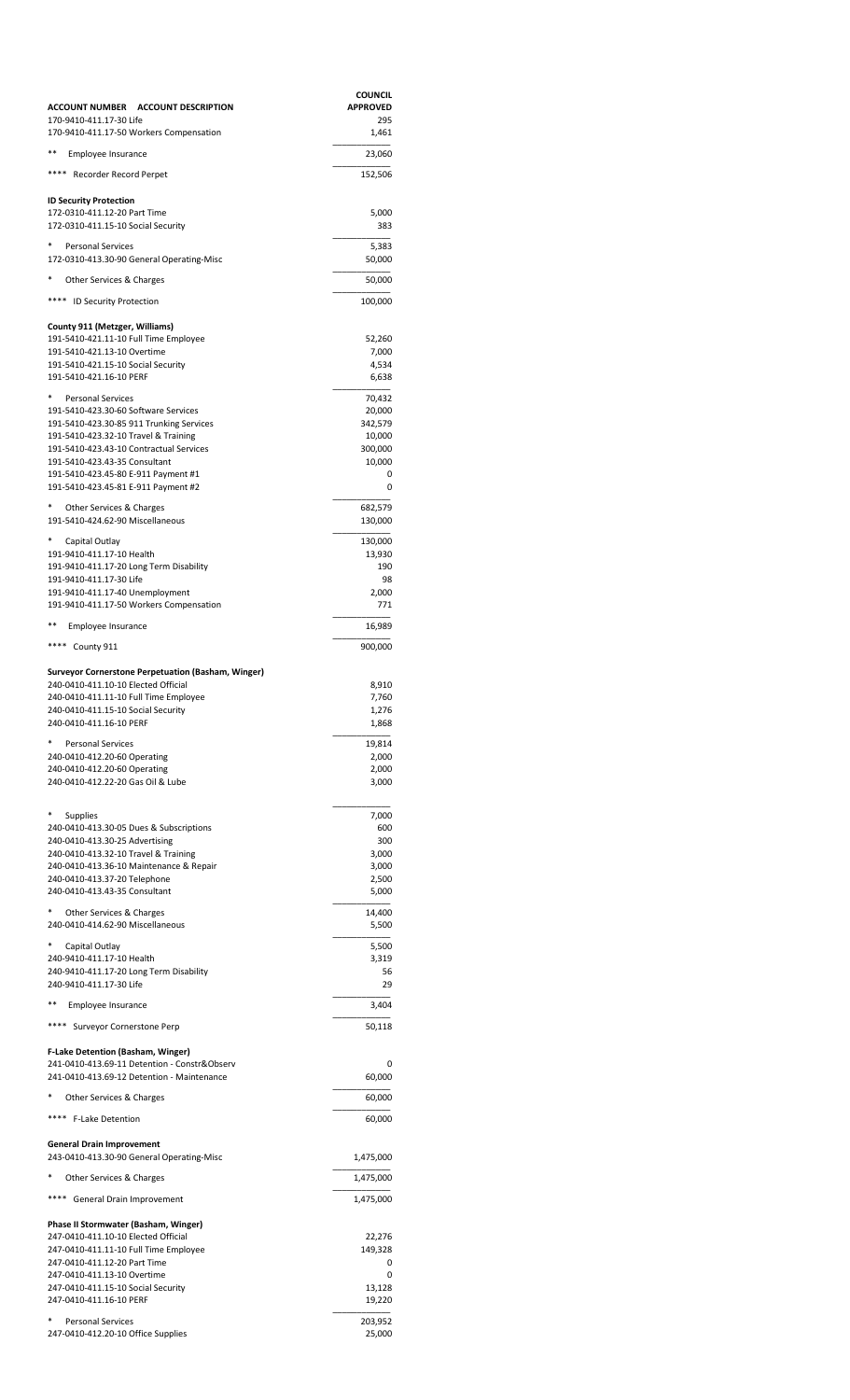| ACCOUNT NUMBER ACCOUNT DESCRIPTION                                                | <b>COUNCIL</b><br><b>APPROVED</b> |
|-----------------------------------------------------------------------------------|-----------------------------------|
| 170-9410-411.17-30 Life<br>170-9410-411.17-50 Workers Compensation                | 295<br>1,461                      |
| **<br>Employee Insurance                                                          | 23,060                            |
| **** Recorder Record Perpet                                                       | 152,506                           |
| ID Security Protection<br>172-0310-411.12-20 Part Time                            | 5,000                             |
| 172-0310-411.15-10 Social Security                                                | 383                               |
| $\ast$<br><b>Personal Services</b><br>172-0310-413.30-90 General Operating-Misc   | 5,383<br>50,000                   |
| *<br>Other Services & Charges                                                     | 50,000                            |
| **** ID Security Protection                                                       | 100,000                           |
| County 911 (Metzger, Williams)                                                    |                                   |
| 191-5410-421.11-10 Full Time Employee<br>191-5410-421.13-10 Overtime              | 52,260<br>7,000                   |
| 191-5410-421.15-10 Social Security<br>191-5410-421.16-10 PERF                     | 4,534<br>6,638                    |
| *<br><b>Personal Services</b>                                                     | 70,432                            |
| 191-5410-423.30-60 Software Services<br>191-5410-423.30-85 911 Trunking Services  | 20,000<br>342,579                 |
| 191-5410-423.32-10 Travel & Training                                              | 10,000                            |
| 191-5410-423.43-10 Contractual Services<br>191-5410-423.43-35 Consultant          | 300,000<br>10,000                 |
| 191-5410-423.45-80 E-911 Payment #1                                               | 0                                 |
| 191-5410-423.45-81 E-911 Payment #2                                               | 0                                 |
| *<br>Other Services & Charges<br>191-5410-424.62-90 Miscellaneous                 | 682,579<br>130,000                |
| *<br>Capital Outlay                                                               | 130,000                           |
| 191-9410-411.17-10 Health<br>191-9410-411.17-20 Long Term Disability              | 13,930<br>190                     |
| 191-9410-411.17-30 Life                                                           | 98                                |
| 191-9410-411.17-40 Unemployment<br>191-9410-411.17-50 Workers Compensation        | 2,000<br>771                      |
| **<br>Employee Insurance                                                          | 16,989                            |
| **** County 911                                                                   | 900,000                           |
| Surveyor Cornerstone Perpetuation (Basham, Winger)                                |                                   |
| 240-0410-411.10-10 Elected Official<br>240-0410-411.11-10 Full Time Employee      | 8,910<br>7,760                    |
| 240-0410-411.15-10 Social Security<br>240-0410-411.16-10 PERF                     | 1,276                             |
| *                                                                                 | 1,868                             |
| <b>Personal Services</b><br>240-0410-412.20-60 Operating                          | 19,814<br>2,000                   |
| 240-0410-412.20-60 Operating<br>240-0410-412.22-20 Gas Oil & Lube                 | 2,000                             |
|                                                                                   | 3,000                             |
| $^*$<br><b>Supplies</b><br>240-0410-413.30-05 Dues & Subscriptions                | 7,000                             |
| 240-0410-413.30-25 Advertising                                                    | 600<br>300                        |
| 240-0410-413.32-10 Travel & Training<br>240-0410-413.36-10 Maintenance & Repair   | 3,000<br>3,000                    |
| 240-0410-413.37-20 Telephone                                                      | 2,500                             |
| 240-0410-413.43-35 Consultant                                                     | 5,000                             |
| *<br>Other Services & Charges<br>240-0410-414.62-90 Miscellaneous                 | 14,400<br>5,500                   |
| *<br>Capital Outlay                                                               | 5,500                             |
| 240-9410-411.17-10 Health<br>240-9410-411.17-20 Long Term Disability              | 3,319<br>56                       |
| 240-9410-411.17-30 Life                                                           | 29                                |
| **<br>Employee Insurance                                                          | 3,404                             |
| **** Surveyor Cornerstone Perp                                                    | 50,118                            |
| F-Lake Detention (Basham, Winger)<br>241-0410-413.69-11 Detention - Constr&Observ | 0                                 |
| 241-0410-413.69-12 Detention - Maintenance                                        | 60,000                            |
| *<br>Other Services & Charges                                                     | 60,000                            |
| **** F-Lake Detention                                                             | 60,000                            |
| General Drain Improvement<br>243-0410-413.30-90 General Operating-Misc            | 1,475,000                         |
| *<br>Other Services & Charges                                                     | 1,475,000                         |
| **** General Drain Improvement                                                    | 1,475,000                         |
| Phase II Stormwater (Basham, Winger)                                              |                                   |
| 247-0410-411.10-10 Elected Official<br>247-0410-411.11-10 Full Time Employee      | 22,276<br>149,328                 |
| 247-0410-411.12-20 Part Time                                                      | 0                                 |
| 247-0410-411.13-10 Overtime<br>247-0410-411.15-10 Social Security                 | 0<br>13,128                       |
| 247-0410-411.16-10 PERF                                                           | 19,220                            |
| *<br><b>Personal Services</b><br>247-0410-412.20-10 Office Supplies               | 203,952<br>25,000                 |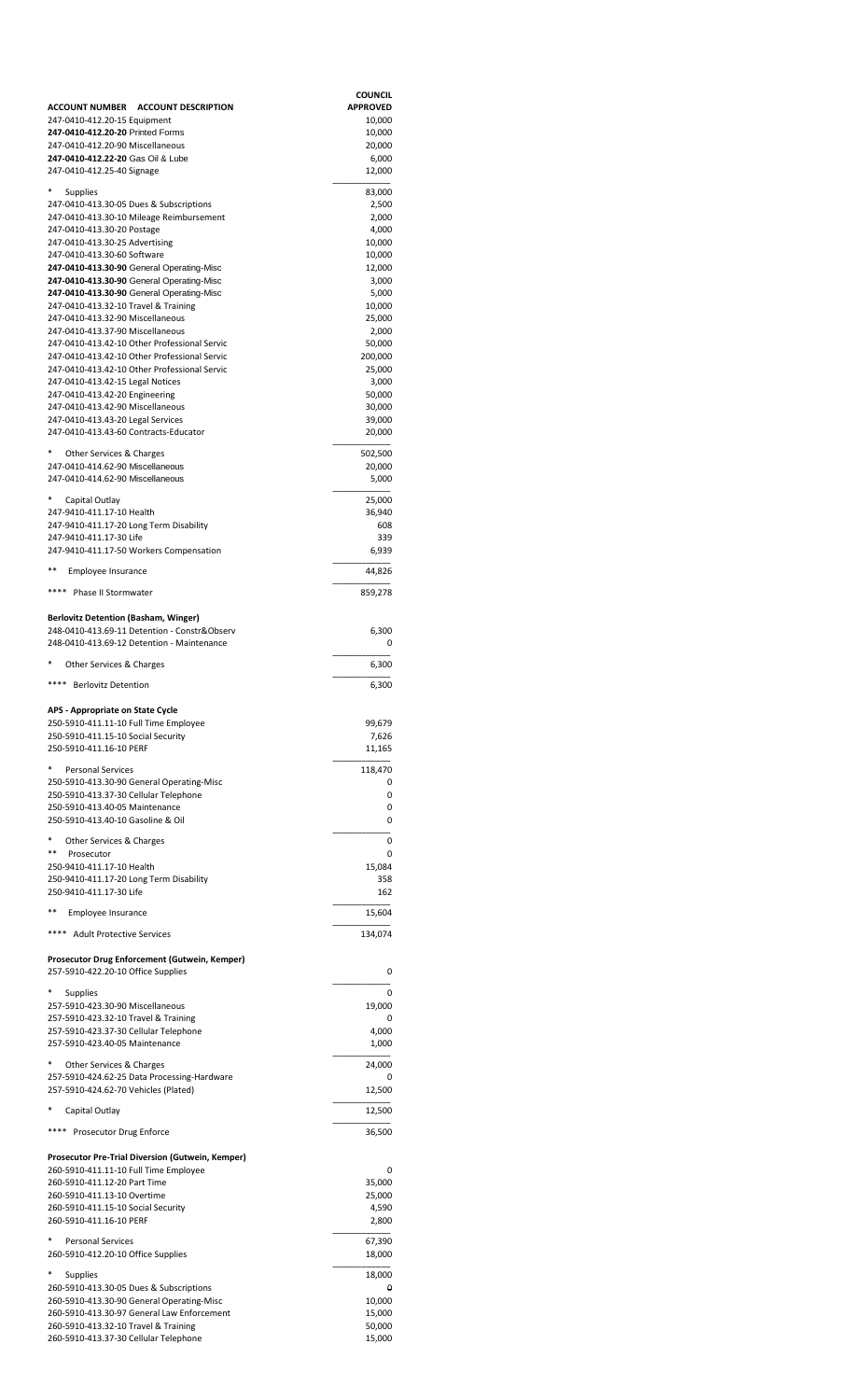|                                                                                              | <b>COUNCIL</b>    |
|----------------------------------------------------------------------------------------------|-------------------|
| ACCOUNT NUMBER ACCOUNT DESCRIPTION                                                           | <b>APPROVED</b>   |
| 247-0410-412.20-15 Equipment<br>247-0410-412.20-20 Printed Forms                             | 10,000<br>10,000  |
| 247-0410-412.20-90 Miscellaneous                                                             | 20,000            |
| 247-0410-412.22-20 Gas Oil & Lube<br>247-0410-412.25-40 Signage                              | 6,000             |
|                                                                                              | 12,000            |
| <b>Supplies</b><br>247-0410-413.30-05 Dues & Subscriptions                                   | 83,000            |
| 247-0410-413.30-10 Mileage Reimbursement                                                     | 2,500<br>2,000    |
| 247-0410-413.30-20 Postage                                                                   | 4,000             |
| 247-0410-413.30-25 Advertising                                                               | 10,000            |
| 247-0410-413.30-60 Software<br>247-0410-413.30-90 General Operating-Misc                     | 10,000<br>12,000  |
| 247-0410-413.30-90 General Operating-Misc                                                    | 3,000             |
| 247-0410-413.30-90 General Operating-Misc                                                    | 5,000             |
| 247-0410-413.32-10 Travel & Training<br>247-0410-413.32-90 Miscellaneous                     | 10,000<br>25,000  |
| 247-0410-413.37-90 Miscellaneous                                                             | 2,000             |
| 247-0410-413.42-10 Other Professional Servic                                                 | 50,000            |
| 247-0410-413.42-10 Other Professional Servic<br>247-0410-413.42-10 Other Professional Servic | 200,000           |
| 247-0410-413.42-15 Legal Notices                                                             | 25,000<br>3,000   |
| 247-0410-413.42-20 Engineering                                                               | 50,000            |
| 247-0410-413.42-90 Miscellaneous                                                             | 30,000            |
| 247-0410-413.43-20 Legal Services<br>247-0410-413.43-60 Contracts-Educator                   | 39,000<br>20,000  |
|                                                                                              |                   |
| Other Services & Charges<br>247-0410-414.62-90 Miscellaneous                                 | 502,500<br>20,000 |
| 247-0410-414.62-90 Miscellaneous                                                             | 5,000             |
|                                                                                              |                   |
| Capital Outlay<br>247-9410-411.17-10 Health                                                  | 25,000<br>36,940  |
| 247-9410-411.17-20 Long Term Disability                                                      | 608               |
| 247-9410-411.17-30 Life                                                                      | 339               |
| 247-9410-411.17-50 Workers Compensation                                                      | 6,939             |
| **<br>Employee Insurance                                                                     | 44,826            |
| **** Phase II Stormwater                                                                     | 859,278           |
|                                                                                              |                   |
| <b>Berlovitz Detention (Basham, Winger)</b>                                                  |                   |
| 248-0410-413.69-11 Detention - Constr&Observ<br>248-0410-413.69-12 Detention - Maintenance   | 6,300<br>0        |
|                                                                                              |                   |
| Other Services & Charges                                                                     | 6,300             |
| **** Berlovitz Detention                                                                     | 6,300             |
|                                                                                              |                   |
| APS - Appropriate on State Cycle<br>250-5910-411.11-10 Full Time Employee                    | 99,679            |
| 250-5910-411.15-10 Social Security                                                           | 7,626             |
| 250-5910-411.16-10 PERF                                                                      | 11,165            |
| <b>Personal Services</b>                                                                     | 118,470           |
| 250-5910-413.30-90 General Operating-Misc                                                    | 0                 |
| 250-5910-413.37-30 Cellular Telephone<br>250-5910-413.40-05 Maintenance                      | 0<br>0            |
| 250-5910-413.40-10 Gasoline & Oil                                                            | 0                 |
| Other Services & Charges                                                                     | 0                 |
| **<br>Prosecutor                                                                             | 0                 |
| 250-9410-411.17-10 Health                                                                    | 15,084            |
| 250-9410-411.17-20 Long Term Disability                                                      | 358               |
| 250-9410-411.17-30 Life                                                                      | 162               |
| **<br>Employee Insurance                                                                     | 15,604            |
| **** Adult Protective Services                                                               | 134,074           |
|                                                                                              |                   |
| Prosecutor Drug Enforcement (Gutwein, Kemper)                                                |                   |
| 257-5910-422.20-10 Office Supplies                                                           | 0                 |
| Supplies                                                                                     | 0                 |
| 257-5910-423.30-90 Miscellaneous<br>257-5910-423.32-10 Travel & Training                     | 19,000<br>0       |
| 257-5910-423.37-30 Cellular Telephone                                                        | 4,000             |
| 257-5910-423.40-05 Maintenance                                                               | 1,000             |
| Other Services & Charges                                                                     | 24,000            |
| 257-5910-424.62-25 Data Processing-Hardware                                                  |                   |
| 257-5910-424.62-70 Vehicles (Plated)                                                         | 12,500            |
| Capital Outlay                                                                               | 12,500            |
| Prosecutor Drug Enforce                                                                      | 36,500            |
|                                                                                              |                   |
| Prosecutor Pre-Trial Diversion (Gutwein, Kemper)                                             |                   |
| 260-5910-411.11-10 Full Time Employee<br>260-5910-411.12-20 Part Time                        | 0<br>35,000       |
| 260-5910-411.13-10 Overtime                                                                  | 25,000            |
| 260-5910-411.15-10 Social Security                                                           | 4,590             |
| 260-5910-411.16-10 PERF                                                                      | 2,800             |
| Personal Services                                                                            | 67,390            |
| 260-5910-412.20-10 Office Supplies                                                           | 18,000            |
| Supplies                                                                                     | 18,000            |
| 260-5910-413.30-05 Dues & Subscriptions                                                      | θ                 |
| 260-5910-413.30-90 General Operating-Misc<br>260-5910-413.30-97 General Law Enforcement      | 10,000<br>15,000  |
| 260-5910-413.32-10 Travel & Training                                                         | 50,000            |
| 260-5910-413.37-30 Cellular Telephone                                                        | 15,000            |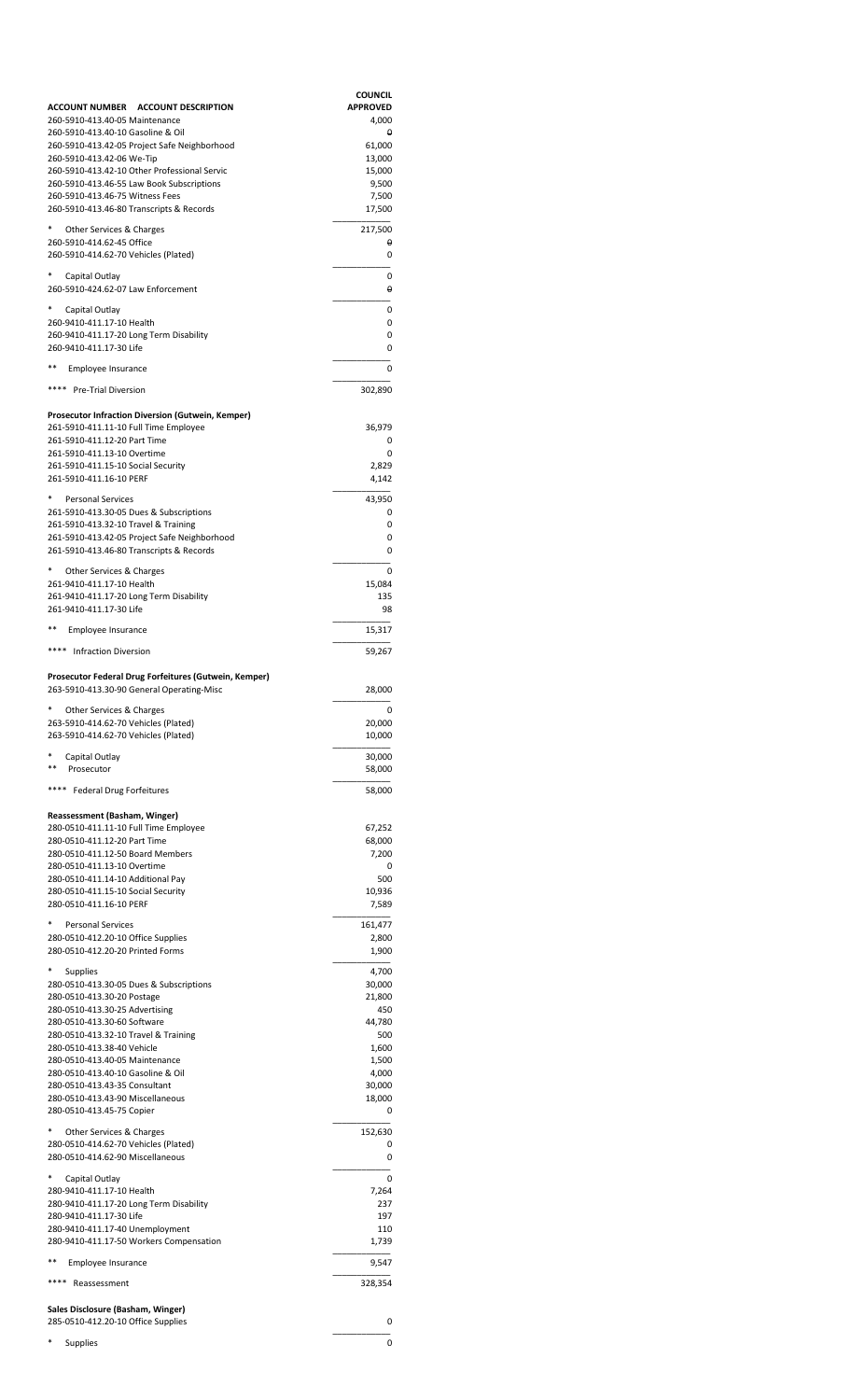|                                                                             | <b>COUNCIL</b>           |
|-----------------------------------------------------------------------------|--------------------------|
| ACCOUNT NUMBER ACCOUNT DESCRIPTION<br>260-5910-413.40-05 Maintenance        | <b>APPROVED</b><br>4,000 |
| 260-5910-413.40-10 Gasoline & Oil                                           | θ                        |
| 260-5910-413.42-05 Project Safe Neighborhood                                | 61,000                   |
| 260-5910-413.42-06 We-Tip<br>260-5910-413.42-10 Other Professional Servic   | 13,000<br>15,000         |
| 260-5910-413.46-55 Law Book Subscriptions                                   | 9,500                    |
| 260-5910-413.46-75 Witness Fees<br>260-5910-413.46-80 Transcripts & Records | 7,500<br>17,500          |
|                                                                             |                          |
| Other Services & Charges<br>260-5910-414.62-45 Office                       | 217,500<br>θ             |
| 260-5910-414.62-70 Vehicles (Plated)                                        | 0                        |
| Capital Outlay                                                              | 0                        |
| 260-5910-424.62-07 Law Enforcement                                          | θ                        |
| Capital Outlay                                                              | 0                        |
| 260-9410-411.17-10 Health<br>260-9410-411.17-20 Long Term Disability        | 0<br>0                   |
| 260-9410-411.17-30 Life                                                     | 0                        |
| **<br>Employee Insurance                                                    | 0                        |
| **** Pre-Trial Diversion                                                    |                          |
|                                                                             | 302,890                  |
| <b>Prosecutor Infraction Diversion (Gutwein, Kemper)</b>                    |                          |
| 261-5910-411.11-10 Full Time Employee<br>261-5910-411.12-20 Part Time       | 36,979<br>0              |
| 261-5910-411.13-10 Overtime                                                 | 0                        |
| 261-5910-411.15-10 Social Security                                          | 2,829                    |
| 261-5910-411.16-10 PERF                                                     | 4,142                    |
| <b>Personal Services</b><br>261-5910-413.30-05 Dues & Subscriptions         | 43,950<br>0              |
| 261-5910-413.32-10 Travel & Training                                        | 0                        |
| 261-5910-413.42-05 Project Safe Neighborhood                                | 0                        |
| 261-5910-413.46-80 Transcripts & Records                                    | 0                        |
| Other Services & Charges                                                    | 0                        |
| 261-9410-411.17-10 Health<br>261-9410-411.17-20 Long Term Disability        | 15,084<br>135            |
| 261-9410-411.17-30 Life                                                     | 98                       |
| Employee Insurance                                                          | 15,317                   |
| **** Infraction Diversion                                                   | 59,267                   |
|                                                                             |                          |
| Prosecutor Federal Drug Forfeitures (Gutwein, Kemper)                       |                          |
| 263-5910-413.30-90 General Operating-Misc                                   | 28,000                   |
| Other Services & Charges<br>263-5910-414.62-70 Vehicles (Plated)            | 20,000                   |
| 263-5910-414.62-70 Vehicles (Plated)                                        | 10,000                   |
| Capital Outlay                                                              | 30,000                   |
| **<br>Prosecutor                                                            | 58,000                   |
| ****<br>Federal Drug Forfeitures                                            | 58,000                   |
|                                                                             |                          |
| Reassessment (Basham, Winger)<br>280-0510-411.11-10 Full Time Employee      | 67,252                   |
| 280-0510-411.12-20 Part Time                                                | 68,000                   |
| 280-0510-411.12-50 Board Members<br>280-0510-411.13-10 Overtime             | 7,200<br>0               |
| 280-0510-411.14-10 Additional Pay                                           | 500                      |
| 280-0510-411.15-10 Social Security                                          | 10,936                   |
| 280-0510-411.16-10 PERF                                                     | 7,589                    |
| <b>Personal Services</b>                                                    | 161,477                  |
| 280-0510-412.20-10 Office Supplies<br>280-0510-412.20-20 Printed Forms      | 2,800<br>1,900           |
| Supplies                                                                    | 4,700                    |
| 280-0510-413.30-05 Dues & Subscriptions                                     | 30,000                   |
| 280-0510-413.30-20 Postage                                                  | 21,800                   |
| 280-0510-413.30-25 Advertising<br>280-0510-413.30-60 Software               | 450<br>44,780            |
| 280-0510-413.32-10 Travel & Training                                        | 500                      |
| 280-0510-413.38-40 Vehicle<br>280-0510-413.40-05 Maintenance                | 1,600<br>1,500           |
| 280-0510-413.40-10 Gasoline & Oil                                           | 4,000                    |
| 280-0510-413.43-35 Consultant                                               | 30,000                   |
| 280-0510-413.43-90 Miscellaneous<br>280-0510-413.45-75 Copier               | 18,000<br>0              |
| Other Services & Charges                                                    |                          |
| 280-0510-414.62-70 Vehicles (Plated)                                        | 152,630<br>0             |
| 280-0510-414.62-90 Miscellaneous                                            | 0                        |
| Capital Outlay                                                              | 0                        |
| 280-9410-411.17-10 Health                                                   | 7,264                    |
| 280-9410-411.17-20 Long Term Disability<br>280-9410-411.17-30 Life          | 237<br>197               |
| 280-9410-411.17-40 Unemployment                                             | 110                      |
| 280-9410-411.17-50 Workers Compensation                                     | 1,739                    |
| **<br>Employee Insurance                                                    | 9,547                    |
| ****<br>Reassessment                                                        | 328,354                  |
| Sales Disclosure (Basham, Winger)                                           |                          |
| 285-0510-412.20-10 Office Supplies                                          | 0                        |
| Supplies                                                                    | 0                        |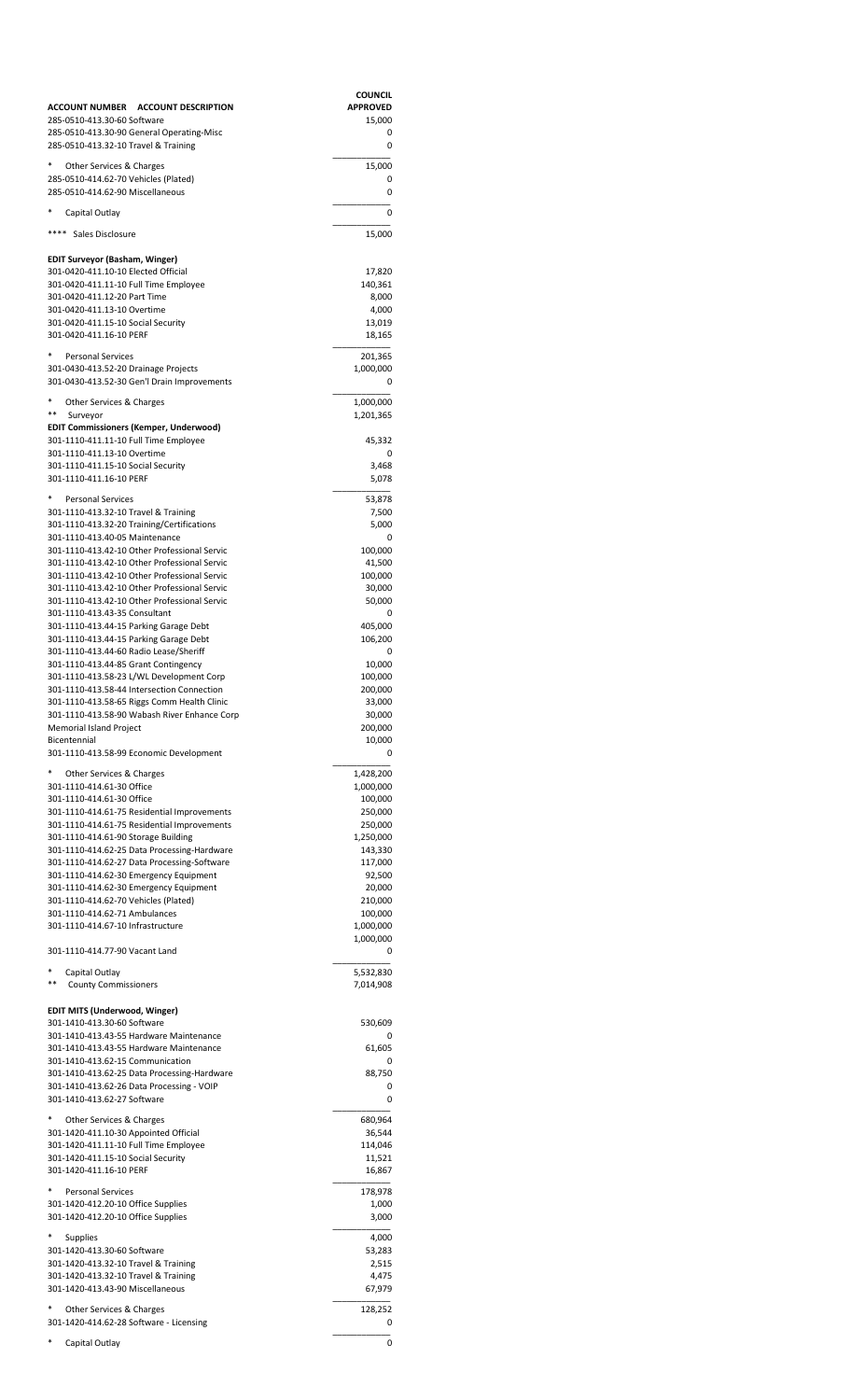|                                                                                              | <b>COUNCIL</b>            |
|----------------------------------------------------------------------------------------------|---------------------------|
| ACCOUNT NUMBER ACCOUNT DESCRIPTION<br>285-0510-413.30-60 Software                            | <b>APPROVED</b><br>15,000 |
| 285-0510-413.30-90 General Operating-Misc<br>285-0510-413.32-10 Travel & Training            | 0<br>0                    |
| Other Services & Charges                                                                     | 15,000                    |
| 285-0510-414.62-70 Vehicles (Plated)<br>285-0510-414.62-90 Miscellaneous                     | 0<br>0                    |
| Capital Outlay                                                                               | 0                         |
| ****<br>Sales Disclosure                                                                     | 15,000                    |
| EDIT Surveyor (Basham, Winger)                                                               |                           |
| 301-0420-411.10-10 Elected Official<br>301-0420-411.11-10 Full Time Employee                 | 17,820<br>140,361         |
| 301-0420-411.12-20 Part Time                                                                 | 8,000                     |
| 301-0420-411.13-10 Overtime                                                                  | 4,000                     |
| 301-0420-411.15-10 Social Security<br>301-0420-411.16-10 PERF                                | 13,019<br>18,165          |
| <b>Personal Services</b>                                                                     | 201,365                   |
| 301-0430-413.52-20 Drainage Projects<br>301-0430-413.52-30 Gen'l Drain Improvements          | 1,000,000<br>0            |
| Other Services & Charges<br>$***$<br>Surveyor                                                | 1,000,000<br>1,201,365    |
| <b>EDIT Commissioners (Kemper, Underwood)</b>                                                |                           |
| 301-1110-411.11-10 Full Time Employee                                                        | 45,332                    |
| 301-1110-411.13-10 Overtime<br>301-1110-411.15-10 Social Security                            | 0<br>3,468                |
| 301-1110-411.16-10 PERF                                                                      | 5,078                     |
| <b>Personal Services</b>                                                                     | 53,878                    |
| 301-1110-413.32-10 Travel & Training<br>301-1110-413.32-20 Training/Certifications           | 7,500<br>5,000            |
| 301-1110-413.40-05 Maintenance                                                               | 0                         |
| 301-1110-413.42-10 Other Professional Servic<br>301-1110-413.42-10 Other Professional Servic | 100,000<br>41,500         |
| 301-1110-413.42-10 Other Professional Servic                                                 | 100,000                   |
| 301-1110-413.42-10 Other Professional Servic                                                 | 30,000                    |
| 301-1110-413.42-10 Other Professional Servic<br>301-1110-413.43-35 Consultant                | 50,000<br>0               |
| 301-1110-413.44-15 Parking Garage Debt                                                       | 405,000                   |
| 301-1110-413.44-15 Parking Garage Debt                                                       | 106,200                   |
| 301-1110-413.44-60 Radio Lease/Sheriff<br>301-1110-413.44-85 Grant Contingency               | 0<br>10,000               |
| 301-1110-413.58-23 L/WL Development Corp                                                     | 100,000                   |
| 301-1110-413.58-44 Intersection Connection                                                   | 200,000                   |
| 301-1110-413.58-65 Riggs Comm Health Clinic                                                  | 33,000                    |
| 301-1110-413.58-90 Wabash River Enhance Corp<br>Memorial Island Project                      | 30,000<br>200,000         |
| Bicentennial                                                                                 | 10,000                    |
| 301-1110-413.58-99 Economic Development                                                      | 0                         |
| Other Services & Charges                                                                     | 1,428,200                 |
| 301-1110-414.61-30 Office<br>301-1110-414.61-30 Office                                       | 1,000,000<br>100,000      |
| 301-1110-414.61-75 Residential Improvements                                                  | 250,000                   |
| 301-1110-414.61-75 Residential Improvements                                                  | 250,000                   |
| 301-1110-414.61-90 Storage Building<br>301-1110-414.62-25 Data Processing-Hardware           | 1,250,000<br>143,330      |
| 301-1110-414.62-27 Data Processing-Software                                                  | 117,000                   |
| 301-1110-414.62-30 Emergency Equipment                                                       | 92,500                    |
| 301-1110-414.62-30 Emergency Equipment                                                       | 20,000                    |
| 301-1110-414.62-70 Vehicles (Plated)<br>301-1110-414.62-71 Ambulances                        | 210,000<br>100,000        |
| 301-1110-414.67-10 Infrastructure                                                            | 1,000,000                 |
| 301-1110-414.77-90 Vacant Land                                                               | 1,000,000<br>0            |
| Capital Outlay                                                                               | 5,532,830                 |
| <b>County Commissioners</b>                                                                  | 7,014,908                 |
| EDIT MITS (Underwood, Winger)<br>301-1410-413.30-60 Software                                 | 530,609                   |
| 301-1410-413.43-55 Hardware Maintenance                                                      | 0                         |
| 301-1410-413.43-55 Hardware Maintenance<br>301-1410-413.62-15 Communication                  | 61,605<br>0               |
| 301-1410-413.62-25 Data Processing-Hardware                                                  | 88,750                    |
| 301-1410-413.62-26 Data Processing - VOIP<br>301-1410-413.62-27 Software                     | 0<br>0                    |
| Other Services & Charges                                                                     | 680,964                   |
| 301-1420-411.10-30 Appointed Official                                                        | 36,544                    |
| 301-1420-411.11-10 Full Time Employee<br>301-1420-411.15-10 Social Security                  | 114,046<br>11,521         |
| 301-1420-411.16-10 PERF                                                                      | 16,867                    |
| <b>Personal Services</b>                                                                     | 178,978                   |
| 301-1420-412.20-10 Office Supplies                                                           | 1,000                     |
| 301-1420-412.20-10 Office Supplies                                                           | 3,000                     |
| <b>Supplies</b><br>301-1420-413.30-60 Software                                               | 4,000                     |
| 301-1420-413.32-10 Travel & Training                                                         | 53,283<br>2,515           |
| 301-1420-413.32-10 Travel & Training                                                         | 4,475                     |
| 301-1420-413.43-90 Miscellaneous                                                             | 67,979                    |
| Other Services & Charges                                                                     | 128,252                   |
| 301-1420-414.62-28 Software - Licensing                                                      | 0                         |
| Capital Outlay                                                                               | 0                         |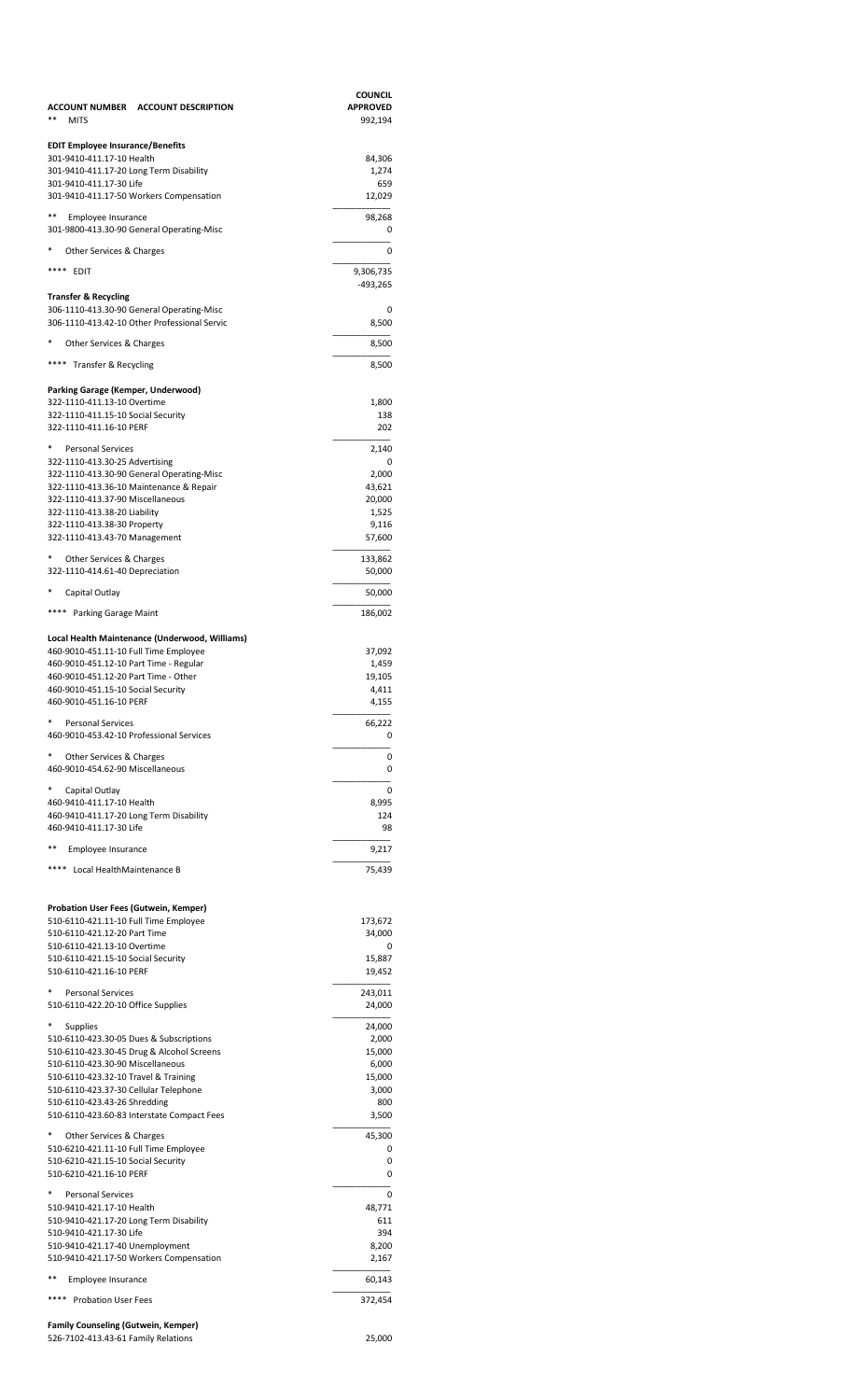| ACCOUNT NUMBER ACCOUNT DESCRIPTION<br>**<br><b>MITS</b>                              | <b>COUNCIL</b><br><b>APPROVED</b><br>992,194 |
|--------------------------------------------------------------------------------------|----------------------------------------------|
| <b>EDIT Employee Insurance/Benefits</b>                                              |                                              |
| 301-9410-411.17-10 Health<br>301-9410-411.17-20 Long Term Disability                 | 84,306<br>1,274                              |
| 301-9410-411.17-30 Life                                                              | 659                                          |
| 301-9410-411.17-50 Workers Compensation                                              | 12,029                                       |
| **<br>Employee Insurance<br>301-9800-413.30-90 General Operating-Misc                | 98,268<br>0                                  |
| *<br>Other Services & Charges                                                        | 0                                            |
| ****<br>EDIT                                                                         | 9,306,735                                    |
| Transfer & Recycling                                                                 | -493,265                                     |
| 306-1110-413.30-90 General Operating-Misc                                            | 0                                            |
| 306-1110-413.42-10 Other Professional Servic                                         | 8,500                                        |
| Other Services & Charges                                                             | 8,500                                        |
| **** Transfer & Recycling                                                            | 8,500                                        |
| Parking Garage (Kemper, Underwood)                                                   |                                              |
| 322-1110-411.13-10 Overtime<br>322-1110-411.15-10 Social Security                    | 1,800<br>138                                 |
| 322-1110-411.16-10 PERF                                                              | 202                                          |
| *<br><b>Personal Services</b>                                                        | 2,140                                        |
| 322-1110-413.30-25 Advertising                                                       | 0                                            |
| 322-1110-413.30-90 General Operating-Misc<br>322-1110-413.36-10 Maintenance & Repair | 2,000<br>43,621                              |
| 322-1110-413.37-90 Miscellaneous                                                     | 20,000                                       |
| 322-1110-413.38-20 Liability<br>322-1110-413.38-30 Property                          | 1,525<br>9,116                               |
| 322-1110-413.43-70 Management                                                        | 57,600                                       |
| *<br>Other Services & Charges<br>322-1110-414.61-40 Depreciation                     | 133,862<br>50,000                            |
| *<br>Capital Outlay                                                                  | 50,000                                       |
| **** Parking Garage Maint                                                            | 186,002                                      |
| Local Health Maintenance (Underwood, Williams)                                       |                                              |
| 460-9010-451.11-10 Full Time Employee                                                | 37,092                                       |
| 460-9010-451.12-10 Part Time - Regular                                               | 1,459                                        |
| 460-9010-451.12-20 Part Time - Other<br>460-9010-451.15-10 Social Security           | 19,105<br>4,411                              |
| 460-9010-451.16-10 PERF                                                              | 4,155                                        |
| *<br><b>Personal Services</b>                                                        | 66,222                                       |
| 460-9010-453.42-10 Professional Services                                             | 0                                            |
| *<br>Other Services & Charges<br>460-9010-454.62-90 Miscellaneous                    | 0<br>0                                       |
| *<br>Capital Outlay                                                                  | 0                                            |
| 460-9410-411.17-10 Health<br>460-9410-411.17-20 Long Term Disability                 | 8,995<br>124                                 |
| 460-9410-411.17-30 Life                                                              | 98                                           |
| **<br>Employee Insurance                                                             | 9,217                                        |
| ****<br>Local HealthMaintenance B                                                    | 75,439                                       |
|                                                                                      |                                              |
| Probation User Fees (Gutwein, Kemper)<br>510-6110-421.11-10 Full Time Employee       |                                              |
| 510-6110-421.12-20 Part Time                                                         | 173,672<br>34,000                            |
| 510-6110-421.13-10 Overtime                                                          | 0                                            |
| 510-6110-421.15-10 Social Security<br>510-6110-421.16-10 PERF                        | 15,887<br>19,452                             |
| <b>Personal Services</b>                                                             | 243,011                                      |
| 510-6110-422.20-10 Office Supplies                                                   | 24,000                                       |
| <b>Supplies</b>                                                                      | 24,000                                       |
| 510-6110-423.30-05 Dues & Subscriptions                                              | 2,000                                        |
| 510-6110-423.30-45 Drug & Alcohol Screens<br>510-6110-423.30-90 Miscellaneous        | 15,000<br>6,000                              |
| 510-6110-423.32-10 Travel & Training                                                 | 15,000                                       |
| 510-6110-423.37-30 Cellular Telephone                                                | 3,000                                        |
| 510-6110-423.43-26 Shredding<br>510-6110-423.60-83 Interstate Compact Fees           | 800<br>3,500                                 |
| Other Services & Charges                                                             | 45,300                                       |
| 510-6210-421.11-10 Full Time Employee                                                | 0                                            |
| 510-6210-421.15-10 Social Security                                                   | 0                                            |
| 510-6210-421.16-10 PERF                                                              | 0                                            |
| <b>Personal Services</b><br>510-9410-421.17-10 Health                                | 0<br>48,771                                  |
| 510-9410-421.17-20 Long Term Disability                                              | 611                                          |
| 510-9410-421.17-30 Life                                                              | 394                                          |
| 510-9410-421.17-40 Unemployment<br>510-9410-421.17-50 Workers Compensation           | 8,200<br>2,167                               |
| **<br>Employee Insurance                                                             | 60,143                                       |
| <b>Probation User Fees</b>                                                           | 372,454                                      |
|                                                                                      |                                              |